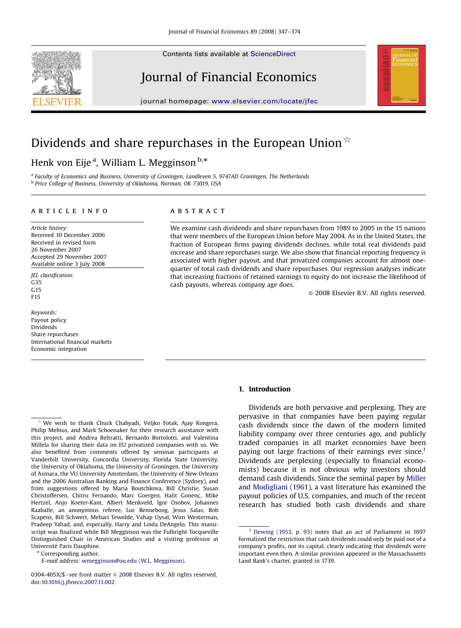Contents lists available at [ScienceDirect](www.elsevier.com/locate/jfec)







journal homepage: <www.elsevier.com/locate/jfec>

## Dividends and share repurchases in the European Union  $\mathbb{R}$

### Henk von Eije<sup>a</sup>, William L. Megginson<sup>b,</sup>\*

a Faculty of Economics and Business, University of Groningen, Landleven 5, 9747AD Groningen, The Netherlands b Price College of Business, University of Oklahoma, Norman, OK 73019, USA

#### article info

Article history: Received 10 December 2006 Received in revised form 26 November 2007 Accepted 29 November 2007 Available online 3 July 2008

JEL classification: G35 G15 F15

Keywords: Payout policy Dividends Share repurchases International financial markets Economic integration

#### **ABSTRACT**

We examine cash dividends and share repurchases from 1989 to 2005 in the 15 nations that were members of the European Union before May 2004. As in the United States, the fraction of European firms paying dividends declines, while total real dividends paid increase and share repurchases surge. We also show that financial reporting frequency is associated with higher payout, and that privatized companies account for almost onequarter of total cash dividends and share repurchases. Our regression analyses indicate that increasing fractions of retained earnings to equity do not increase the likelihood of cash payouts, whereas company age does.

 $\odot$  2008 Elsevier B.V. All rights reserved.

#### 1. Introduction

Dividends are both pervasive and perplexing. They are pervasive in that companies have been paying regular cash dividends since the dawn of the modern limited liability company over three centuries ago, and publicly traded companies in all market economies have been paying out large fractions of their earnings ever since.<sup>1</sup> Dividends are perplexing (especially to financial economists) because it is not obvious why investors should demand cash dividends. Since the seminal paper by [Miller](#page--1-0) [and Modigliani \(1961\)](#page--1-0), a vast literature has examined the payout policies of U.S. companies, and much of the recent research has studied both cash dividends and share

Corresponding author.

<sup>&</sup>lt;sup>1</sup> [Dewing \(1953, p. 93\)](#page--1-0) notes that an act of Parliament in 1697 formalized the restriction that cash dividends could only be paid out of a company's profits, not its capital, clearly indicating that dividends were important even then. A similar provision appeared in the Massachusetts Land Bank's charter, granted in 1739.

We wish to thank Chuck Chahyadi, Veljko Fotak, Ajay Kongera, Philip Mebius, and Mark Schoenaker for their research assistance with this project, and Andrea Beltratti, Bernardo Bortolotti, and Valentina Millela for sharing their data on EU privatized companies with us. We also benefited from comments offered by seminar participants at Vanderbilt University, Concordia University, Florida State University, the University of Oklahoma, the University of Groningen, the University of Asmara, the VU University Amsterdam, the University of New Orleans and the 2006 Australian Banking and Finance Conference (Sydney), and from suggestions offered by Maria Boutchkova, Bill Christie, Susan Christoffersen, Chitru Fernando, Marc Goergen, Halit Gonenç, Mike Hertzel, Anjo Koeter-Kant, Albert Menkveld, Igor Osobov, Johannes Raaballe, an anonymous referee, Luc Renneboog, Jesus Salas, Bob Scapens, Bill Schwert, Mehari Tewolde, Vahap Uysal, Wim Westerman, Pradeep Yahad, and, especially, Harry and Linda DeAngelo. This manuscript was finalized while Bill Megginson was the Fulbright Tocqueville Distinguished Chair in American Studies and a visiting professor at Université Paris Dauphine.

E-mail address: [wmegginson@ou.edu \(W.L. Megginson\).](mailto:wmegginson@ou.edu)

<sup>0304-405</sup>X/\$ - see front matter  $\circ$  2008 Elsevier B.V. All rights reserved. doi:[10.1016/j.jfineco.2007.11.002](dx.doi.org/10.1016/j.jfineco.2007.11.002)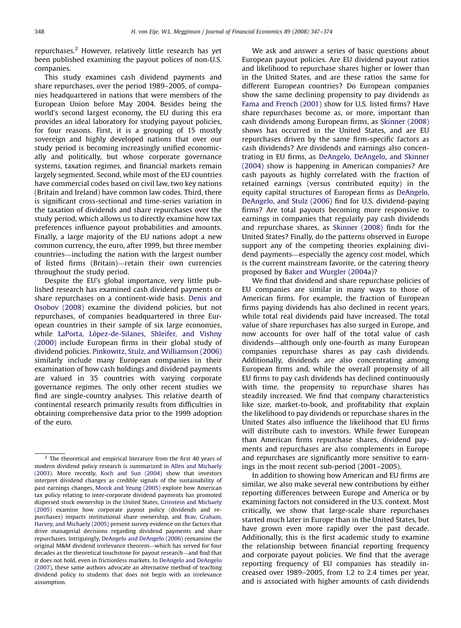repurchases.2 However, relatively little research has yet been published examining the payout polices of non-U.S. companies.

This study examines cash dividend payments and share repurchases, over the period 1989–2005, of companies headquartered in nations that were members of the European Union before May 2004. Besides being the world's second largest economy, the EU during this era provides an ideal laboratory for studying payout policies, for four reasons. First, it is a grouping of 15 mostly sovereign and highly developed nations that over our study period is becoming increasingly unified economically and politically, but whose corporate governance systems, taxation regimes, and financial markets remain largely segmented. Second, while most of the EU countries have commercial codes based on civil law, two key nations (Britain and Ireland) have common law codes. Third, there is significant cross-sectional and time-series variation in the taxation of dividends and share repurchases over the study period, which allows us to directly examine how tax preferences influence payout probabilities and amounts. Finally, a large majority of the EU nations adopt a new common currency, the euro, after 1999, but three member countries—including the nation with the largest number of listed firms (Britain)—retain their own currencies throughout the study period.

Despite the EU's global importance, very little published research has examined cash dividend payments or share repurchases on a continent-wide basis. [Denis and](#page--1-0) [Osobov \(2008\)](#page--1-0) examine the dividend policies, but not repurchases, of companies headquartered in three European countries in their sample of six large economies, while LaPorta, Ló[pez-de-Silanes, Shleifer, and Vishny](#page--1-0) [\(2000\)](#page--1-0) include European firms in their global study of dividend policies. [Pinkowitz, Stulz, and Williamson \(2006\)](#page--1-0) similarly include many European companies in their examination of how cash holdings and dividend payments are valued in 35 countries with varying corporate governance regimes. The only other recent studies we find are single-country analyses. This relative dearth of continental research primarily results from difficulties in obtaining comprehensive data prior to the 1999 adoption of the euro.

We ask and answer a series of basic questions about European payout policies. Are EU dividend payout ratios and likelihood to repurchase shares higher or lower than in the United States, and are these ratios the same for different European countries? Do European companies show the same declining propensity to pay dividends as [Fama and French \(2001\)](#page--1-0) show for U.S. listed firms? Have share repurchases become as, or more, important than cash dividends among European firms, as [Skinner \(2008\)](#page--1-0) shows has occurred in the United States, and are EU repurchases driven by the same firm-specific factors as cash dividends? Are dividends and earnings also concentrating in EU firms, as [DeAngelo, DeAngelo, and Skinner](#page--1-0) [\(2004\)](#page--1-0) show is happening in American companies? Are cash payouts as highly correlated with the fraction of retained earnings (versus contributed equity) in the equity capital structures of European firms as [DeAngelo,](#page--1-0) [DeAngelo, and Stulz \(2006\)](#page--1-0) find for U.S. dividend-paying firms? Are total payouts becoming more responsive to earnings in companies that regularly pay cash dividends and repurchase shares, as [Skinner \(2008\)](#page--1-0) finds for the United States? Finally, do the patterns observed in Europe support any of the competing theories explaining dividend payments—especially the agency cost model, which is the current mainstream favorite, or the catering theory proposed by [Baker and Wurgler \(2004a\)](#page--1-0)?

We find that dividend and share repurchase policies of EU companies are similar in many ways to those of American firms. For example, the fraction of European firms paying dividends has also declined in recent years, while total real dividends paid have increased. The total value of share repurchases has also surged in Europe, and now accounts for over half of the total value of cash dividends—although only one-fourth as many European companies repurchase shares as pay cash dividends. Additionally, dividends are also concentrating among European firms and, while the overall propensity of all EU firms to pay cash dividends has declined continuously with time, the propensity to repurchase shares has steadily increased. We find that company characteristics like size, market-to-book, and profitability that explain the likelihood to pay dividends or repurchase shares in the United States also influence the likelihood that EU firms will distribute cash to investors. While fewer European than American firms repurchase shares, dividend payments and repurchases are also complements in Europe and repurchases are significantly more sensitive to earnings in the most recent sub-period (2001–2005).

In addition to showing how American and EU firms are similar, we also make several new contributions by either reporting differences between Europe and America or by examining factors not considered in the U.S. context. Most critically, we show that large-scale share repurchases started much later in Europe than in the United States, but have grown even more rapidly over the past decade. Additionally, this is the first academic study to examine the relationship between financial reporting frequency and corporate payout policies. We find that the average reporting frequency of EU companies has steadily increased over 1989–2005, from 1.2 to 2.4 times per year, and is associated with higher amounts of cash dividends

 $2$  The theoretical and empirical literature from the first 40 years of modern dividend policy research is summarized in [Allen and Michaely](#page--1-0) [\(2003\)](#page--1-0). More recently, [Koch and Sun \(2004\)](#page--1-0) show that investors interpret dividend changes as credible signals of the sustainability of past earnings changes, [Morck and Yeung \(2005\)](#page--1-0) explore how American tax policy relating to inter-corporate dividend payments has promoted dispersed stock ownership in the United States, [Grinstein and Michaely](#page--1-0) [\(2005\)](#page--1-0) examine how corporate payout policy (dividends and repurchases) impacts institutional share ownership, and [Brav, Graham,](#page--1-0) [Harvey, and Michaely \(2005\)](#page--1-0) present survey evidence on the factors that drive managerial decisions regarding dividend payments and share repurchases. Intriguingly, [DeAngelo and DeAngelo \(2006\)](#page--1-0) reexamine the original M&M dividend irrelevance theorem—which has served for four decades as the theoretical touchstone for payout research—and find that it does not hold, even in frictionless markets. In [DeAngelo and DeAngelo](#page--1-0) [\(2007\)](#page--1-0), these same authors advocate an alternative method of teaching dividend policy to students that does not begin with an irrelevance assumption.